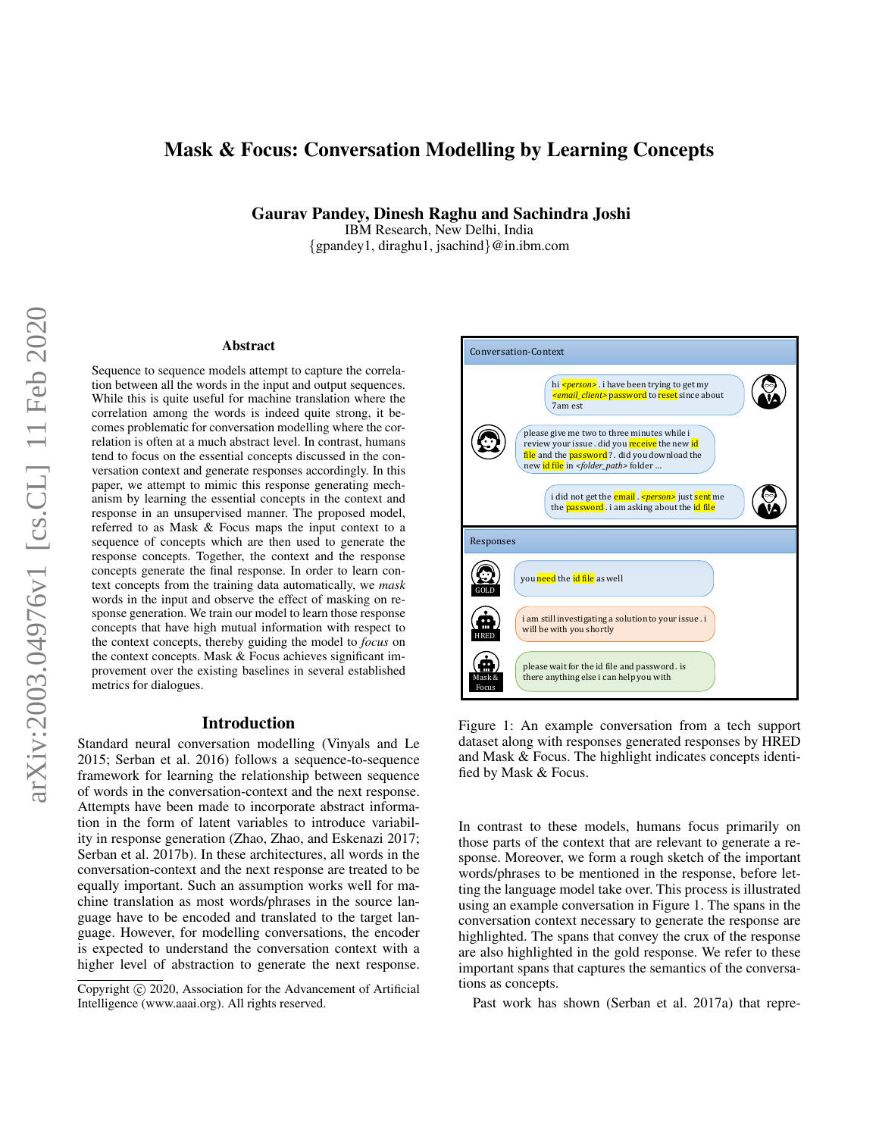# Mask & Focus: Conversation Modelling by Learning Concepts

Gaurav Pandey, Dinesh Raghu and Sachindra Joshi

IBM Research, New Delhi, India {gpandey1, diraghu1, jsachind}@in.ibm.com

#### Abstract

Sequence to sequence models attempt to capture the correlation between all the words in the input and output sequences. While this is quite useful for machine translation where the correlation among the words is indeed quite strong, it becomes problematic for conversation modelling where the correlation is often at a much abstract level. In contrast, humans tend to focus on the essential concepts discussed in the conversation context and generate responses accordingly. In this paper, we attempt to mimic this response generating mechanism by learning the essential concepts in the context and response in an unsupervised manner. The proposed model, referred to as Mask & Focus maps the input context to a sequence of concepts which are then used to generate the response concepts. Together, the context and the response concepts generate the final response. In order to learn context concepts from the training data automatically, we *mask* words in the input and observe the effect of masking on response generation. We train our model to learn those response concepts that have high mutual information with respect to the context concepts, thereby guiding the model to *focus* on the context concepts. Mask & Focus achieves significant improvement over the existing baselines in several established metrics for dialogues.

#### Introduction

Standard neural conversation modelling (Vinyals and Le 2015; Serban et al. 2016) follows a sequence-to-sequence framework for learning the relationship between sequence of words in the conversation-context and the next response. Attempts have been made to incorporate abstract information in the form of latent variables to introduce variability in response generation (Zhao, Zhao, and Eskenazi 2017; Serban et al. 2017b). In these architectures, all words in the conversation-context and the next response are treated to be equally important. Such an assumption works well for machine translation as most words/phrases in the source language have to be encoded and translated to the target language. However, for modelling conversations, the encoder is expected to understand the conversation context with a higher level of abstraction to generate the next response.



Figure 1: An example conversation from a tech support dataset along with responses generated responses by HRED and Mask & Focus. The highlight indicates concepts identified by Mask & Focus.

In contrast to these models, humans focus primarily on those parts of the context that are relevant to generate a response. Moreover, we form a rough sketch of the important words/phrases to be mentioned in the response, before letting the language model take over. This process is illustrated using an example conversation in Figure 1. The spans in the conversation context necessary to generate the response are highlighted. The spans that convey the crux of the response are also highlighted in the gold response. We refer to these important spans that captures the semantics of the conversations as concepts.

Past work has shown (Serban et al. 2017a) that repre-

Copyright (c) 2020, Association for the Advancement of Artificial Intelligence (www.aaai.org). All rights reserved.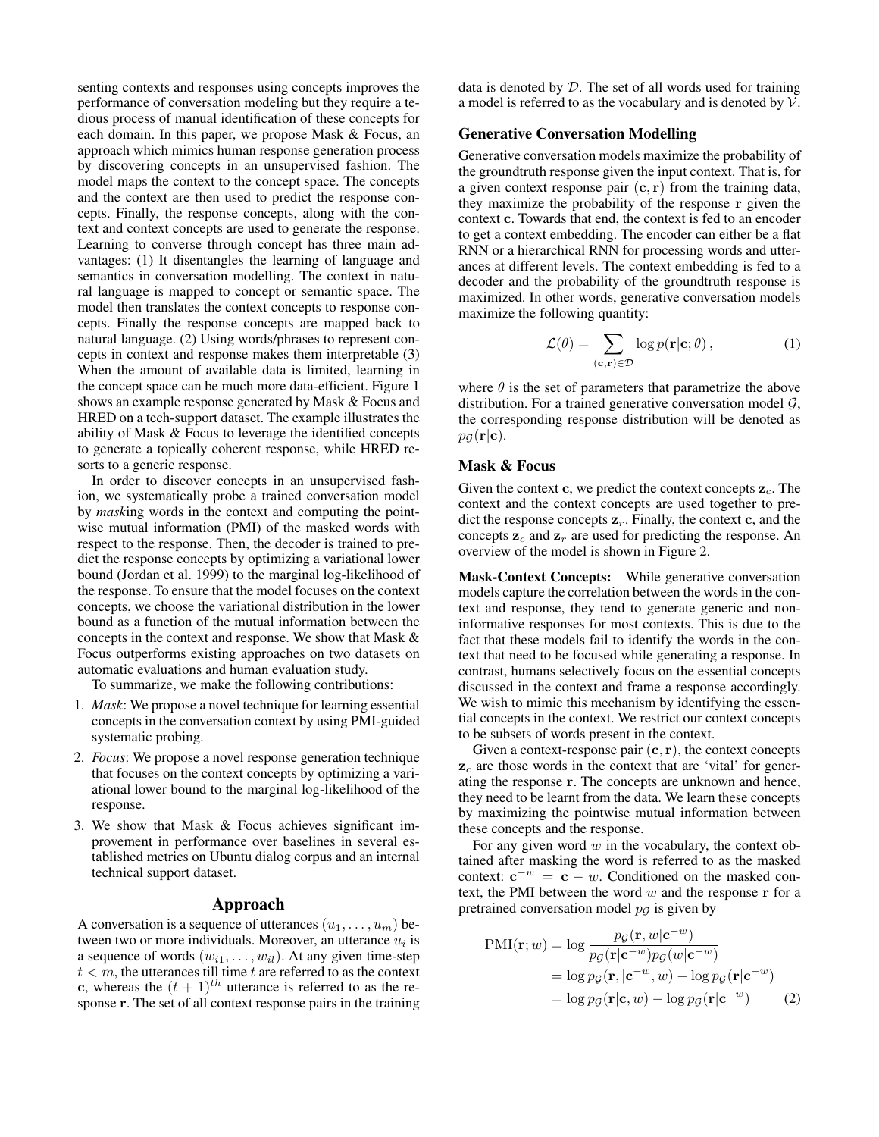senting contexts and responses using concepts improves the performance of conversation modeling but they require a tedious process of manual identification of these concepts for each domain. In this paper, we propose Mask & Focus, an approach which mimics human response generation process by discovering concepts in an unsupervised fashion. The model maps the context to the concept space. The concepts and the context are then used to predict the response concepts. Finally, the response concepts, along with the context and context concepts are used to generate the response. Learning to converse through concept has three main advantages: (1) It disentangles the learning of language and semantics in conversation modelling. The context in natural language is mapped to concept or semantic space. The model then translates the context concepts to response concepts. Finally the response concepts are mapped back to natural language. (2) Using words/phrases to represent concepts in context and response makes them interpretable (3) When the amount of available data is limited, learning in the concept space can be much more data-efficient. Figure 1 shows an example response generated by Mask & Focus and HRED on a tech-support dataset. The example illustrates the ability of Mask & Focus to leverage the identified concepts to generate a topically coherent response, while HRED resorts to a generic response.

In order to discover concepts in an unsupervised fashion, we systematically probe a trained conversation model by *mask*ing words in the context and computing the pointwise mutual information (PMI) of the masked words with respect to the response. Then, the decoder is trained to predict the response concepts by optimizing a variational lower bound (Jordan et al. 1999) to the marginal log-likelihood of the response. To ensure that the model focuses on the context concepts, we choose the variational distribution in the lower bound as a function of the mutual information between the concepts in the context and response. We show that Mask & Focus outperforms existing approaches on two datasets on automatic evaluations and human evaluation study.

To summarize, we make the following contributions:

- 1. *Mask*: We propose a novel technique for learning essential concepts in the conversation context by using PMI-guided systematic probing.
- 2. *Focus*: We propose a novel response generation technique that focuses on the context concepts by optimizing a variational lower bound to the marginal log-likelihood of the response.
- 3. We show that Mask & Focus achieves significant improvement in performance over baselines in several established metrics on Ubuntu dialog corpus and an internal technical support dataset.

#### Approach

A conversation is a sequence of utterances  $(u_1, \ldots, u_m)$  between two or more individuals. Moreover, an utterance  $u_i$  is a sequence of words  $(w_{i1}, \ldots, w_{il})$ . At any given time-step  $t < m$ , the utterances till time t are referred to as the context c, whereas the  $(t + 1)^{th}$  utterance is referred to as the response r. The set of all context response pairs in the training data is denoted by D. The set of all words used for training a model is referred to as the vocabulary and is denoted by  $\mathcal{V}$ .

## Generative Conversation Modelling

Generative conversation models maximize the probability of the groundtruth response given the input context. That is, for a given context response pair  $(c, r)$  from the training data, they maximize the probability of the response r given the context c. Towards that end, the context is fed to an encoder to get a context embedding. The encoder can either be a flat RNN or a hierarchical RNN for processing words and utterances at different levels. The context embedding is fed to a decoder and the probability of the groundtruth response is maximized. In other words, generative conversation models maximize the following quantity:

$$
\mathcal{L}(\theta) = \sum_{(\mathbf{c}, \mathbf{r}) \in \mathcal{D}} \log p(\mathbf{r}|\mathbf{c}; \theta), \qquad (1)
$$

where  $\theta$  is the set of parameters that parametrize the above distribution. For a trained generative conversation model  $G$ , the corresponding response distribution will be denoted as  $p_G(\mathbf{r}|\mathbf{c}).$ 

# Mask & Focus

Given the context c, we predict the context concepts  $z_c$ . The context and the context concepts are used together to predict the response concepts  $z_r$ . Finally, the context c, and the concepts  $z_c$  and  $z_r$  are used for predicting the response. An overview of the model is shown in Figure 2.

Mask-Context Concepts: While generative conversation models capture the correlation between the words in the context and response, they tend to generate generic and noninformative responses for most contexts. This is due to the fact that these models fail to identify the words in the context that need to be focused while generating a response. In contrast, humans selectively focus on the essential concepts discussed in the context and frame a response accordingly. We wish to mimic this mechanism by identifying the essential concepts in the context. We restrict our context concepts to be subsets of words present in the context.

Given a context-response pair  $(c, r)$ , the context concepts  $z_c$  are those words in the context that are 'vital' for generating the response r. The concepts are unknown and hence, they need to be learnt from the data. We learn these concepts by maximizing the pointwise mutual information between these concepts and the response.

For any given word  $w$  in the vocabulary, the context obtained after masking the word is referred to as the masked context:  $e^{-w} = e - w$ . Conditioned on the masked context, the PMI between the word  $w$  and the response  $r$  for a pretrained conversation model  $p<sub>G</sub>$  is given by

$$
\text{PMI}(\mathbf{r}; w) = \log \frac{p_{\mathcal{G}}(\mathbf{r}, w | \mathbf{c}^{-w})}{p_{\mathcal{G}}(\mathbf{r} | \mathbf{c}^{-w})p_{\mathcal{G}}(w | \mathbf{c}^{-w})}
$$
\n
$$
= \log p_{\mathcal{G}}(\mathbf{r}, | \mathbf{c}^{-w}, w) - \log p_{\mathcal{G}}(\mathbf{r} | \mathbf{c}^{-w})
$$
\n
$$
= \log p_{\mathcal{G}}(\mathbf{r} | \mathbf{c}, w) - \log p_{\mathcal{G}}(\mathbf{r} | \mathbf{c}^{-w}) \tag{2}
$$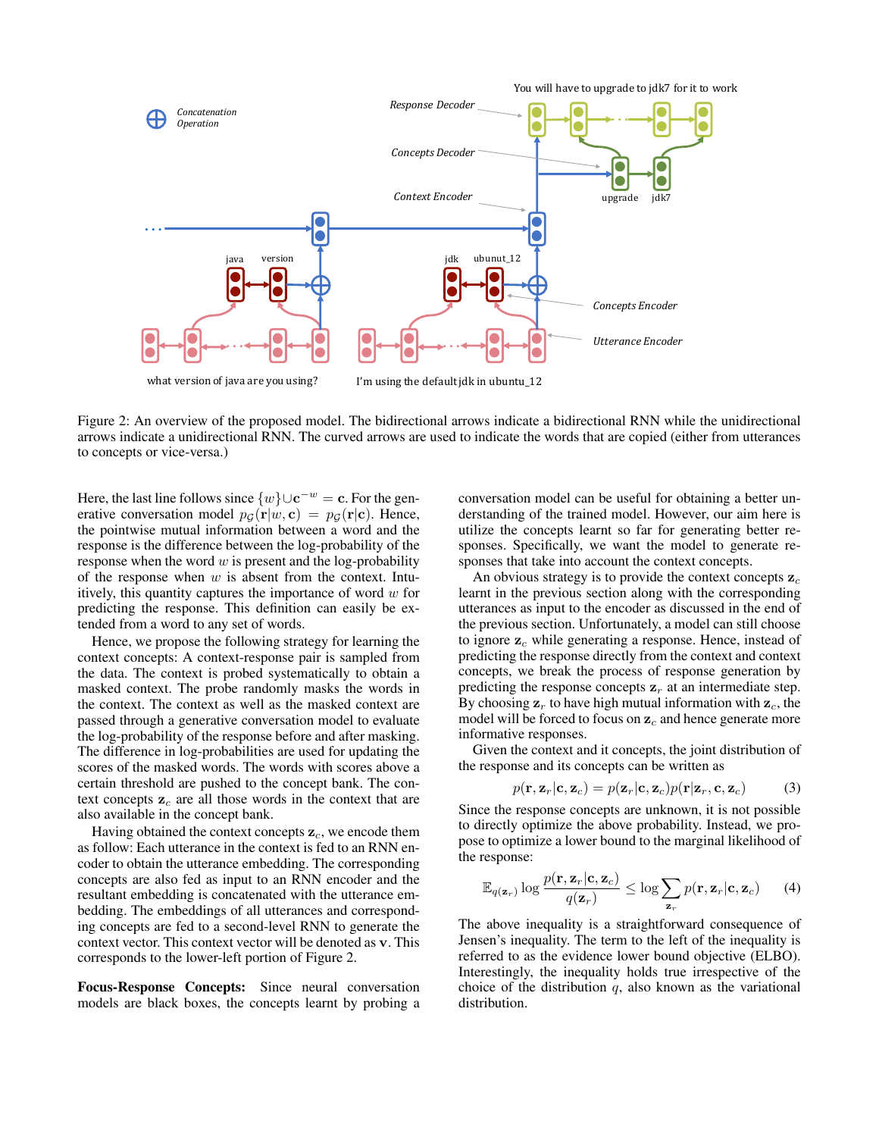

Figure 2: An overview of the proposed model. The bidirectional arrows indicate a bidirectional RNN while the unidirectional arrows indicate a unidirectional RNN. The curved arrows are used to indicate the words that are copied (either from utterances to concepts or vice-versa.)

Here, the last line follows since  $\{w\} \cup \mathbf{c}^{-w} = \mathbf{c}$ . For the generative conversation model  $p_G(\mathbf{r}|w, \mathbf{c}) = p_G(\mathbf{r}|\mathbf{c})$ . Hence, the pointwise mutual information between a word and the response is the difference between the log-probability of the response when the word  $w$  is present and the log-probability of the response when  $w$  is absent from the context. Intuitively, this quantity captures the importance of word  $w$  for predicting the response. This definition can easily be extended from a word to any set of words.

Hence, we propose the following strategy for learning the context concepts: A context-response pair is sampled from the data. The context is probed systematically to obtain a masked context. The probe randomly masks the words in the context. The context as well as the masked context are passed through a generative conversation model to evaluate the log-probability of the response before and after masking. The difference in log-probabilities are used for updating the scores of the masked words. The words with scores above a certain threshold are pushed to the concept bank. The context concepts  $z_c$  are all those words in the context that are also available in the concept bank.

Having obtained the context concepts  $z_c$ , we encode them as follow: Each utterance in the context is fed to an RNN encoder to obtain the utterance embedding. The corresponding concepts are also fed as input to an RNN encoder and the resultant embedding is concatenated with the utterance embedding. The embeddings of all utterances and corresponding concepts are fed to a second-level RNN to generate the context vector. This context vector will be denoted as v. This corresponds to the lower-left portion of Figure 2.

Focus-Response Concepts: Since neural conversation models are black boxes, the concepts learnt by probing a

conversation model can be useful for obtaining a better understanding of the trained model. However, our aim here is utilize the concepts learnt so far for generating better responses. Specifically, we want the model to generate responses that take into account the context concepts.

An obvious strategy is to provide the context concepts  $z_c$ learnt in the previous section along with the corresponding utterances as input to the encoder as discussed in the end of the previous section. Unfortunately, a model can still choose to ignore  $z_c$  while generating a response. Hence, instead of predicting the response directly from the context and context concepts, we break the process of response generation by predicting the response concepts  $z_r$  at an intermediate step. By choosing  $z_r$  to have high mutual information with  $z_c$ , the model will be forced to focus on  $z_c$  and hence generate more informative responses.

Given the context and it concepts, the joint distribution of the response and its concepts can be written as

$$
p(\mathbf{r}, \mathbf{z}_r | \mathbf{c}, \mathbf{z}_c) = p(\mathbf{z}_r | \mathbf{c}, \mathbf{z}_c) p(\mathbf{r} | \mathbf{z}_r, \mathbf{c}, \mathbf{z}_c)
$$
(3)

Since the response concepts are unknown, it is not possible to directly optimize the above probability. Instead, we propose to optimize a lower bound to the marginal likelihood of the response:

$$
\mathbb{E}_{q(\mathbf{z}_r)} \log \frac{p(\mathbf{r}, \mathbf{z}_r | \mathbf{c}, \mathbf{z}_c)}{q(\mathbf{z}_r)} \le \log \sum_{\mathbf{z}_r} p(\mathbf{r}, \mathbf{z}_r | \mathbf{c}, \mathbf{z}_c) \qquad (4)
$$

The above inequality is a straightforward consequence of Jensen's inequality. The term to the left of the inequality is referred to as the evidence lower bound objective (ELBO). Interestingly, the inequality holds true irrespective of the choice of the distribution  $q$ , also known as the variational distribution.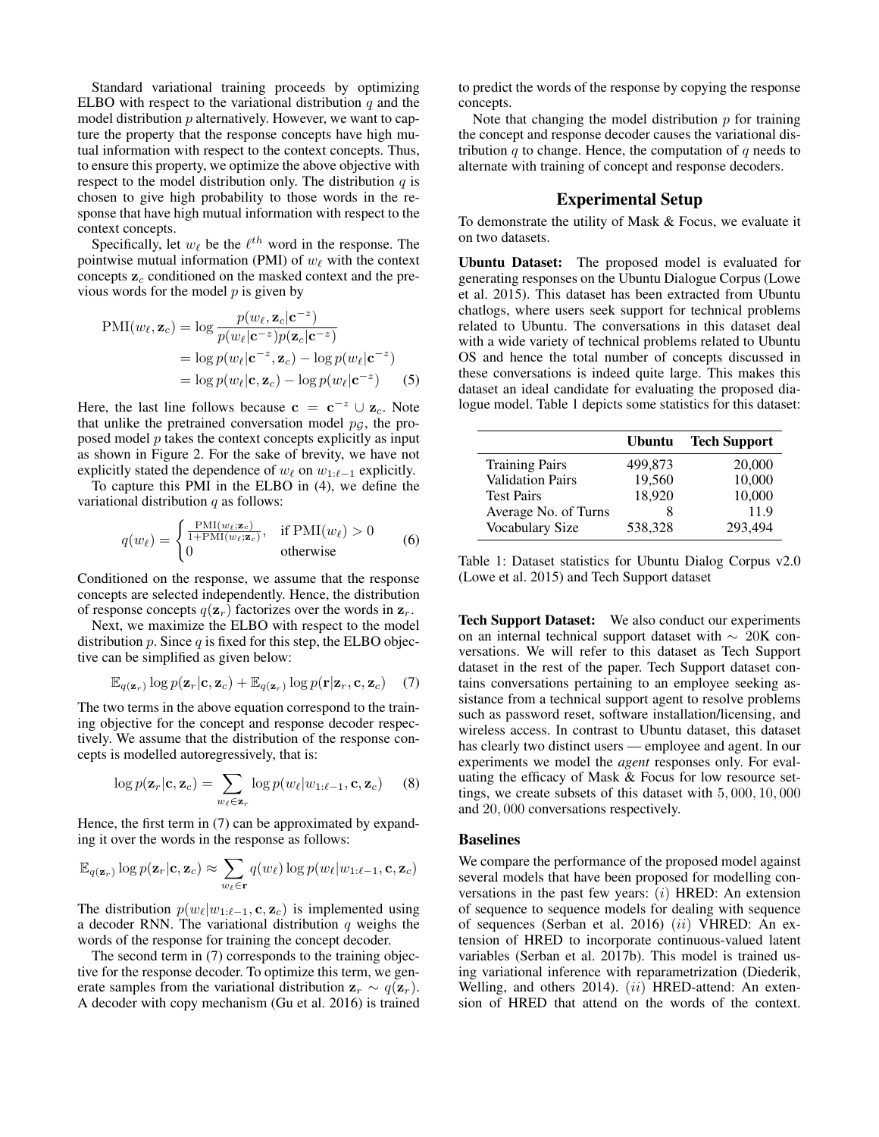Standard variational training proceeds by optimizing ELBO with respect to the variational distribution  $q$  and the model distribution  $p$  alternatively. However, we want to capture the property that the response concepts have high mutual information with respect to the context concepts. Thus, to ensure this property, we optimize the above objective with respect to the model distribution only. The distribution  $q$  is chosen to give high probability to those words in the response that have high mutual information with respect to the context concepts.

Specifically, let  $w_{\ell}$  be the  $\ell^{th}$  word in the response. The pointwise mutual information (PMI) of  $w_{\ell}$  with the context concepts  $z_c$  conditioned on the masked context and the previous words for the model  $p$  is given by

$$
\text{PMI}(w_{\ell}, \mathbf{z}_{c}) = \log \frac{p(w_{\ell}, \mathbf{z}_{c} | \mathbf{c}^{-z})}{p(w_{\ell} | \mathbf{c}^{-z}) p(\mathbf{z}_{c} | \mathbf{c}^{-z})}
$$
\n
$$
= \log p(w_{\ell} | \mathbf{c}^{-z}, \mathbf{z}_{c}) - \log p(w_{\ell} | \mathbf{c}^{-z})
$$
\n
$$
= \log p(w_{\ell} | \mathbf{c}, \mathbf{z}_{c}) - \log p(w_{\ell} | \mathbf{c}^{-z}) \tag{5}
$$

Here, the last line follows because  $c = c^{-z} \cup z_c$ . Note that unlike the pretrained conversation model  $p<sub>G</sub>$ , the proposed model  $p$  takes the context concepts explicitly as input as shown in Figure 2. For the sake of brevity, we have not explicitly stated the dependence of  $w_\ell$  on  $w_{1:\ell-1}$  explicitly.

To capture this PMI in the ELBO in (4), we define the variational distribution  $q$  as follows:

$$
q(w_{\ell}) = \begin{cases} \frac{\text{PMI}(w_{\ell}; \mathbf{z}_{c})}{1 + \text{PMI}(w_{\ell}; \mathbf{z}_{c})}, & \text{if PMI}(w_{\ell}) > 0\\ 0 & \text{otherwise} \end{cases}
$$
(6)

Conditioned on the response, we assume that the response concepts are selected independently. Hence, the distribution of response concepts  $q(\mathbf{z}_r)$  factorizes over the words in  $\mathbf{z}_r$ .

Next, we maximize the ELBO with respect to the model distribution p. Since q is fixed for this step, the ELBO objective can be simplified as given below:

$$
\mathbb{E}_{q(\mathbf{z}_r)} \log p(\mathbf{z}_r | \mathbf{c}, \mathbf{z}_c) + \mathbb{E}_{q(\mathbf{z}_r)} \log p(\mathbf{r} | \mathbf{z}_r, \mathbf{c}, \mathbf{z}_c) \quad (7)
$$

The two terms in the above equation correspond to the training objective for the concept and response decoder respectively. We assume that the distribution of the response concepts is modelled autoregressively, that is:

$$
\log p(\mathbf{z}_r|\mathbf{c}, \mathbf{z}_c) = \sum_{w_\ell \in \mathbf{z}_r} \log p(w_\ell|w_{1:\ell-1}, \mathbf{c}, \mathbf{z}_c) \quad (8)
$$

Hence, the first term in (7) can be approximated by expanding it over the words in the response as follows:

$$
\mathbb{E}_{q(\mathbf{z}_r)} \log p(\mathbf{z}_r | \mathbf{c}, \mathbf{z}_c) \approx \sum_{w_\ell \in \mathbf{r}} q(w_\ell) \log p(w_\ell | w_{1:\ell-1}, \mathbf{c}, \mathbf{z}_c)
$$

The distribution  $p(w_\ell|w_{1:\ell-1}, \mathbf{c}, \mathbf{z}_c)$  is implemented using a decoder RNN. The variational distribution  $q$  weighs the words of the response for training the concept decoder.

The second term in (7) corresponds to the training objective for the response decoder. To optimize this term, we generate samples from the variational distribution  $z_r \sim q(z_r)$ . A decoder with copy mechanism (Gu et al. 2016) is trained

to predict the words of the response by copying the response concepts.

Note that changing the model distribution  $p$  for training the concept and response decoder causes the variational distribution  $q$  to change. Hence, the computation of  $q$  needs to alternate with training of concept and response decoders.

# Experimental Setup

To demonstrate the utility of Mask & Focus, we evaluate it on two datasets.

Ubuntu Dataset: The proposed model is evaluated for generating responses on the Ubuntu Dialogue Corpus (Lowe et al. 2015). This dataset has been extracted from Ubuntu chatlogs, where users seek support for technical problems related to Ubuntu. The conversations in this dataset deal with a wide variety of technical problems related to Ubuntu OS and hence the total number of concepts discussed in these conversations is indeed quite large. This makes this dataset an ideal candidate for evaluating the proposed dialogue model. Table 1 depicts some statistics for this dataset:

|                         | <b>Ubuntu</b> | <b>Tech Support</b> |
|-------------------------|---------------|---------------------|
| <b>Training Pairs</b>   | 499.873       | 20,000              |
| <b>Validation Pairs</b> | 19,560        | 10,000              |
| <b>Test Pairs</b>       | 18,920        | 10,000              |
| Average No. of Turns    |               | 11.9                |
| Vocabulary Size         | 538.328       | 293.494             |

Table 1: Dataset statistics for Ubuntu Dialog Corpus v2.0 (Lowe et al. 2015) and Tech Support dataset

Tech Support Dataset: We also conduct our experiments on an internal technical support dataset with ∼ 20K conversations. We will refer to this dataset as Tech Support dataset in the rest of the paper. Tech Support dataset contains conversations pertaining to an employee seeking assistance from a technical support agent to resolve problems such as password reset, software installation/licensing, and wireless access. In contrast to Ubuntu dataset, this dataset has clearly two distinct users — employee and agent. In our experiments we model the *agent* responses only. For evaluating the efficacy of Mask & Focus for low resource settings, we create subsets of this dataset with 5, 000, 10, 000 and 20, 000 conversations respectively.

#### Baselines

We compare the performance of the proposed model against several models that have been proposed for modelling conversations in the past few years: (i) HRED: An extension of sequence to sequence models for dealing with sequence of sequences (Serban et al. 2016) (ii) VHRED: An extension of HRED to incorporate continuous-valued latent variables (Serban et al. 2017b). This model is trained using variational inference with reparametrization (Diederik, Welling, and others 2014).  $(ii)$  HRED-attend: An extension of HRED that attend on the words of the context.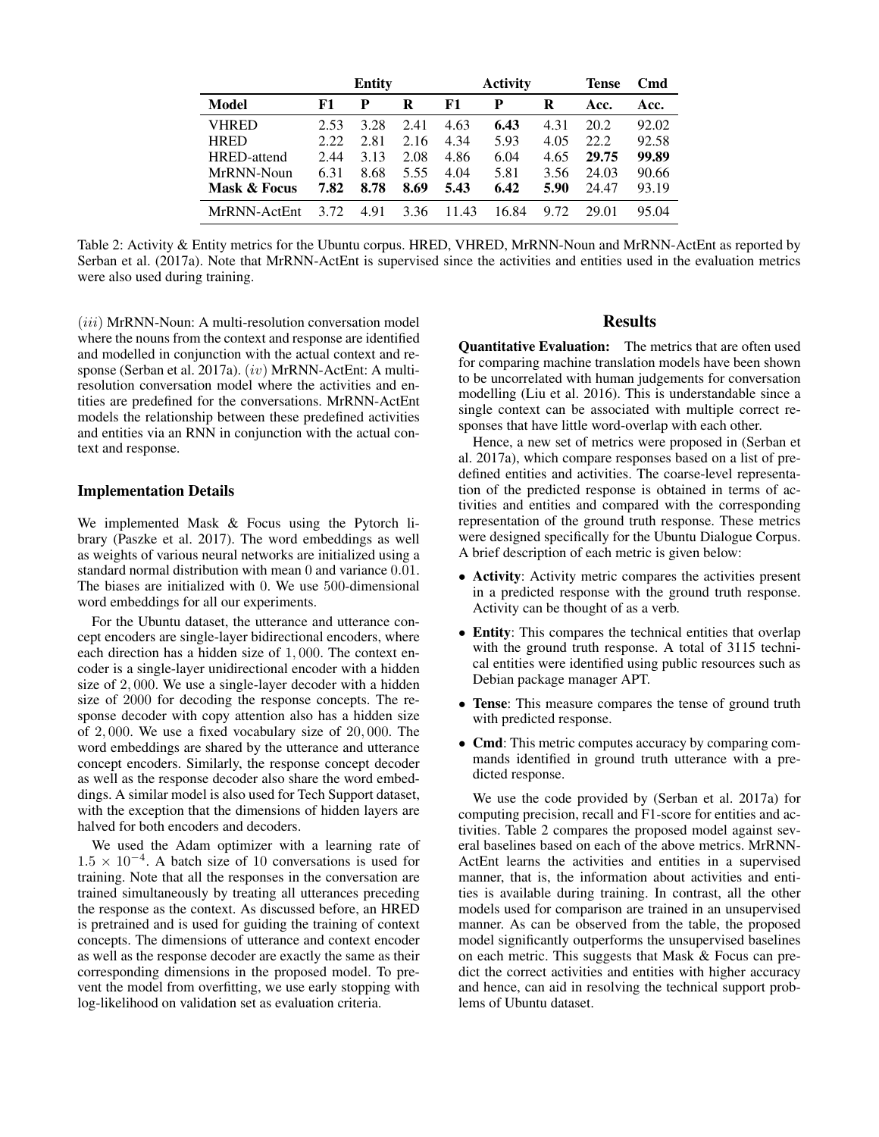|              |       | <b>Entity</b> |      |       | <b>Activity</b> |      | Tense | Cmd   |
|--------------|-------|---------------|------|-------|-----------------|------|-------|-------|
| <b>Model</b> | F1    | P             | R    | F1    | P               | R    | Acc.  | Acc.  |
| <b>VHRED</b> | 2.53  | 3.28          | 2.41 | 4.63  | 6.43            | 4.31 | 20.2  | 92.02 |
| <b>HRED</b>  | 2.22. | 2.81          | 2.16 | 4.34  | 5.93            | 4.05 | 22.2. | 92.58 |
| HRED-attend  | 2.44  | 3.13          | 2.08 | 4.86  | 6.04            | 4.65 | 29.75 | 99.89 |
| MrRNN-Noun   | 6.31  | 8.68          | 5.55 | 4.04  | 5.81            | 3.56 | 24.03 | 90.66 |
| Mask & Focus | 7.82  | 8.78          | 8.69 | 5.43  | 6.42            | 5.90 | 24.47 | 93.19 |
| MrRNN-ActEnt | 3.72  | 4.91          | 3.36 | 11.43 | 16.84           | 9.72 | 29.01 | 95.04 |

Table 2: Activity & Entity metrics for the Ubuntu corpus. HRED, VHRED, MrRNN-Noun and MrRNN-ActEnt as reported by Serban et al. (2017a). Note that MrRNN-ActEnt is supervised since the activities and entities used in the evaluation metrics were also used during training.

(iii) MrRNN-Noun: A multi-resolution conversation model where the nouns from the context and response are identified and modelled in conjunction with the actual context and response (Serban et al. 2017a). (iv) MrRNN-ActEnt: A multiresolution conversation model where the activities and entities are predefined for the conversations. MrRNN-ActEnt models the relationship between these predefined activities and entities via an RNN in conjunction with the actual context and response.

#### Implementation Details

We implemented Mask & Focus using the Pytorch library (Paszke et al. 2017). The word embeddings as well as weights of various neural networks are initialized using a standard normal distribution with mean 0 and variance 0.01. The biases are initialized with 0. We use 500-dimensional word embeddings for all our experiments.

For the Ubuntu dataset, the utterance and utterance concept encoders are single-layer bidirectional encoders, where each direction has a hidden size of 1, 000. The context encoder is a single-layer unidirectional encoder with a hidden size of 2, 000. We use a single-layer decoder with a hidden size of 2000 for decoding the response concepts. The response decoder with copy attention also has a hidden size of 2, 000. We use a fixed vocabulary size of 20, 000. The word embeddings are shared by the utterance and utterance concept encoders. Similarly, the response concept decoder as well as the response decoder also share the word embeddings. A similar model is also used for Tech Support dataset, with the exception that the dimensions of hidden layers are halved for both encoders and decoders.

We used the Adam optimizer with a learning rate of  $1.5 \times 10^{-4}$ . A batch size of 10 conversations is used for training. Note that all the responses in the conversation are trained simultaneously by treating all utterances preceding the response as the context. As discussed before, an HRED is pretrained and is used for guiding the training of context concepts. The dimensions of utterance and context encoder as well as the response decoder are exactly the same as their corresponding dimensions in the proposed model. To prevent the model from overfitting, we use early stopping with log-likelihood on validation set as evaluation criteria.

#### Results

Quantitative Evaluation: The metrics that are often used for comparing machine translation models have been shown to be uncorrelated with human judgements for conversation modelling (Liu et al. 2016). This is understandable since a single context can be associated with multiple correct responses that have little word-overlap with each other.

Hence, a new set of metrics were proposed in (Serban et al. 2017a), which compare responses based on a list of predefined entities and activities. The coarse-level representation of the predicted response is obtained in terms of activities and entities and compared with the corresponding representation of the ground truth response. These metrics were designed specifically for the Ubuntu Dialogue Corpus. A brief description of each metric is given below:

- Activity: Activity metric compares the activities present in a predicted response with the ground truth response. Activity can be thought of as a verb.
- Entity: This compares the technical entities that overlap with the ground truth response. A total of 3115 technical entities were identified using public resources such as Debian package manager APT.
- Tense: This measure compares the tense of ground truth with predicted response.
- Cmd: This metric computes accuracy by comparing commands identified in ground truth utterance with a predicted response.

We use the code provided by (Serban et al. 2017a) for computing precision, recall and F1-score for entities and activities. Table 2 compares the proposed model against several baselines based on each of the above metrics. MrRNN-ActEnt learns the activities and entities in a supervised manner, that is, the information about activities and entities is available during training. In contrast, all the other models used for comparison are trained in an unsupervised manner. As can be observed from the table, the proposed model significantly outperforms the unsupervised baselines on each metric. This suggests that Mask & Focus can predict the correct activities and entities with higher accuracy and hence, can aid in resolving the technical support problems of Ubuntu dataset.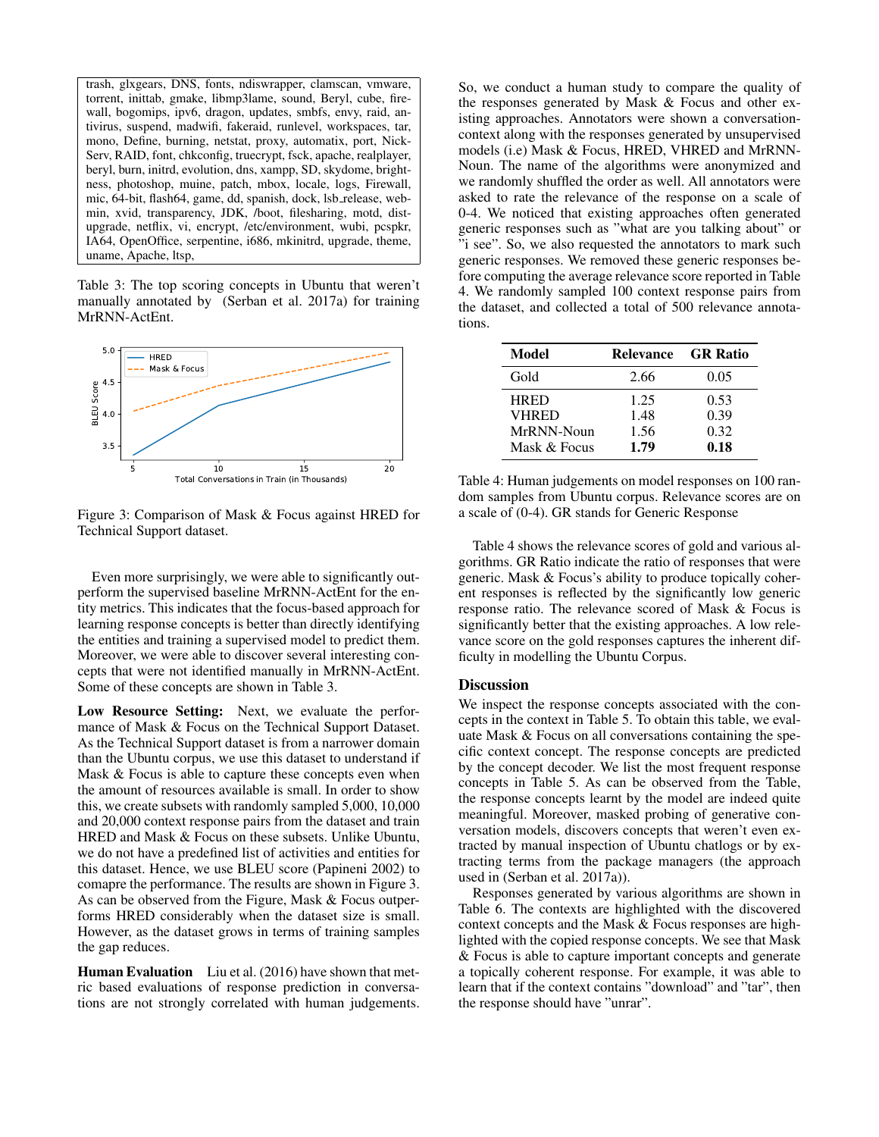trash, glxgears, DNS, fonts, ndiswrapper, clamscan, vmware, torrent, inittab, gmake, libmp3lame, sound, Beryl, cube, firewall, bogomips, ipv6, dragon, updates, smbfs, envy, raid, antivirus, suspend, madwifi, fakeraid, runlevel, workspaces, tar, mono, Define, burning, netstat, proxy, automatix, port, Nick-Serv, RAID, font, chkconfig, truecrypt, fsck, apache, realplayer, beryl, burn, initrd, evolution, dns, xampp, SD, skydome, brightness, photoshop, muine, patch, mbox, locale, logs, Firewall, mic, 64-bit, flash64, game, dd, spanish, dock, lsb release, webmin, xvid, transparency, JDK, /boot, filesharing, motd, distupgrade, netflix, vi, encrypt, /etc/environment, wubi, pcspkr, IA64, OpenOffice, serpentine, i686, mkinitrd, upgrade, theme, uname, Apache, ltsp,

Table 3: The top scoring concepts in Ubuntu that weren't manually annotated by (Serban et al. 2017a) for training MrRNN-ActEnt.



Figure 3: Comparison of Mask & Focus against HRED for Technical Support dataset.

Even more surprisingly, we were able to significantly outperform the supervised baseline MrRNN-ActEnt for the entity metrics. This indicates that the focus-based approach for learning response concepts is better than directly identifying the entities and training a supervised model to predict them. Moreover, we were able to discover several interesting concepts that were not identified manually in MrRNN-ActEnt. Some of these concepts are shown in Table 3.

Low Resource Setting: Next, we evaluate the performance of Mask & Focus on the Technical Support Dataset. As the Technical Support dataset is from a narrower domain than the Ubuntu corpus, we use this dataset to understand if Mask & Focus is able to capture these concepts even when the amount of resources available is small. In order to show this, we create subsets with randomly sampled 5,000, 10,000 and 20,000 context response pairs from the dataset and train HRED and Mask & Focus on these subsets. Unlike Ubuntu, we do not have a predefined list of activities and entities for this dataset. Hence, we use BLEU score (Papineni 2002) to comapre the performance. The results are shown in Figure 3. As can be observed from the Figure, Mask & Focus outperforms HRED considerably when the dataset size is small. However, as the dataset grows in terms of training samples the gap reduces.

Human Evaluation Liu et al. (2016) have shown that metric based evaluations of response prediction in conversations are not strongly correlated with human judgements. So, we conduct a human study to compare the quality of the responses generated by Mask & Focus and other existing approaches. Annotators were shown a conversationcontext along with the responses generated by unsupervised models (i.e) Mask & Focus, HRED, VHRED and MrRNN-Noun. The name of the algorithms were anonymized and we randomly shuffled the order as well. All annotators were asked to rate the relevance of the response on a scale of 0-4. We noticed that existing approaches often generated generic responses such as "what are you talking about" or "i see". So, we also requested the annotators to mark such generic responses. We removed these generic responses before computing the average relevance score reported in Table 4. We randomly sampled 100 context response pairs from the dataset, and collected a total of 500 relevance annotations.

| Model           | <b>Relevance</b> | <b>GR</b> Ratio |
|-----------------|------------------|-----------------|
| Gold            | 2.66             | 0.05            |
| <b>HRED</b>     | 1.25             | 0.53            |
| <b>VHRED</b>    | 1.48             | 0.39            |
| MrRNN-Noun      | 1.56             | 0.32            |
| Mask $\&$ Focus | 1.79             | 0.18            |

Table 4: Human judgements on model responses on 100 random samples from Ubuntu corpus. Relevance scores are on a scale of (0-4). GR stands for Generic Response

Table 4 shows the relevance scores of gold and various algorithms. GR Ratio indicate the ratio of responses that were generic. Mask & Focus's ability to produce topically coherent responses is reflected by the significantly low generic response ratio. The relevance scored of Mask & Focus is significantly better that the existing approaches. A low relevance score on the gold responses captures the inherent difficulty in modelling the Ubuntu Corpus.

### **Discussion**

We inspect the response concepts associated with the concepts in the context in Table 5. To obtain this table, we evaluate Mask & Focus on all conversations containing the specific context concept. The response concepts are predicted by the concept decoder. We list the most frequent response concepts in Table 5. As can be observed from the Table, the response concepts learnt by the model are indeed quite meaningful. Moreover, masked probing of generative conversation models, discovers concepts that weren't even extracted by manual inspection of Ubuntu chatlogs or by extracting terms from the package managers (the approach used in (Serban et al. 2017a)).

Responses generated by various algorithms are shown in Table 6. The contexts are highlighted with the discovered context concepts and the Mask & Focus responses are highlighted with the copied response concepts. We see that Mask & Focus is able to capture important concepts and generate a topically coherent response. For example, it was able to learn that if the context contains "download" and "tar", then the response should have "unrar".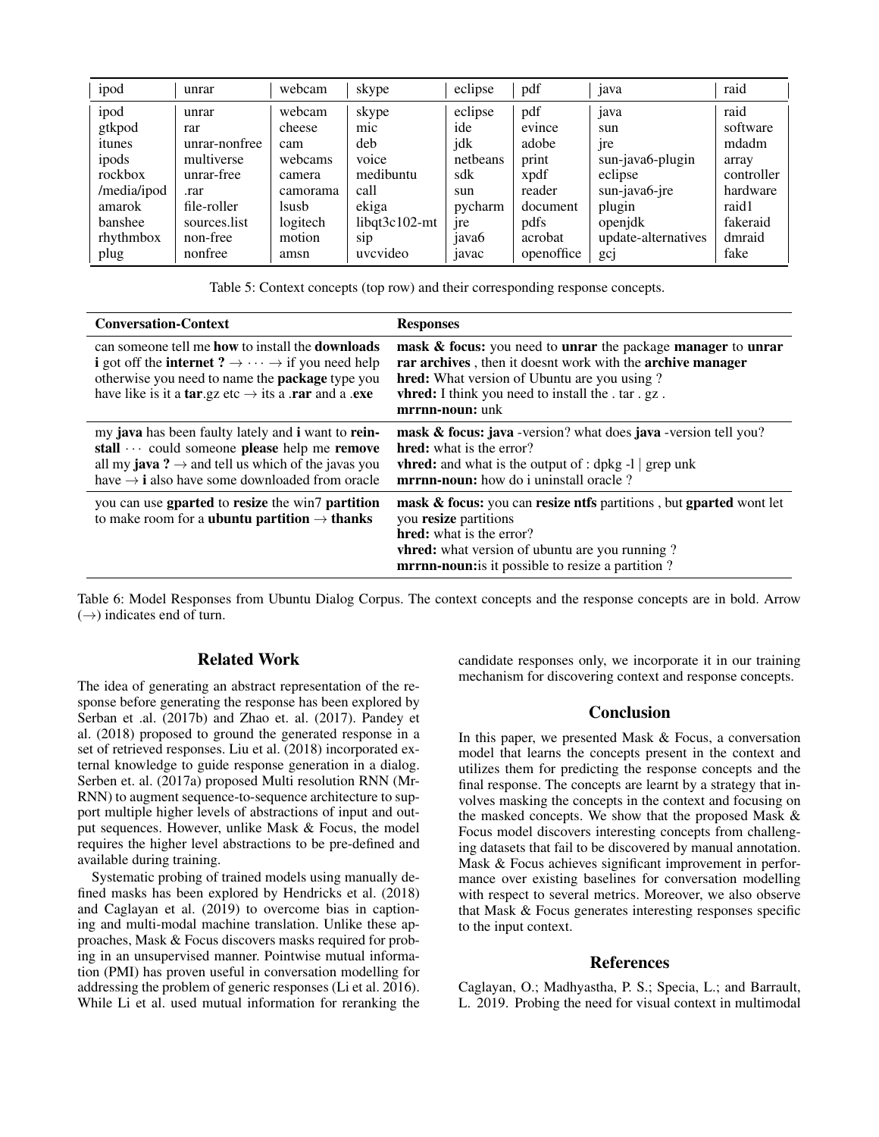| ipod        | unrar         | webcam   | skype            | eclipse           | pdf        | java                | raid       |
|-------------|---------------|----------|------------------|-------------------|------------|---------------------|------------|
| ipod        | unrar         | webcam   | skype            | eclipse           | pdf        | java                | raid       |
| gtkpod      | rar           | cheese   | mic              | ide               | evince     | sun                 | software   |
| itunes      | unrar-nonfree | cam      | deb              | jdk               | adobe      | <sub>1</sub> re     | mdadm      |
| ipods       | multiverse    | webcams  | voice            | netheans          | print      | sun-java6-plugin    | array      |
| rockbox     | unrar-free    | camera   | medibuntu        | sdk               | xpdf       | eclipse             | controller |
| /media/ipod | .rar          | camorama | call             | sun               | reader     | sun-java6-jre       | hardware   |
| amarok      | file-roller   | lsusb    | ekiga            | pycharm           | document   | plugin              | raid1      |
| banshee     | sources.list  | logitech | $libqt3c102-mt$  | jre               | pdfs       | openidk             | fakeraid   |
| rhythmbox   | non-free      | motion   | S <sub>1</sub> p | java <sub>6</sub> | acrobat    | update-alternatives | dmraid     |
| plug        | nonfree       | amsn     | uvcvideo         | 1avac             | openoffice | gcj                 | fake       |

Table 5: Context concepts (top row) and their corresponding response concepts.

| <b>Conversation-Context</b>                                                                                                                                                                                                                                                                                   | <b>Responses</b>                                                                                                                                                                                                                                                      |
|---------------------------------------------------------------------------------------------------------------------------------------------------------------------------------------------------------------------------------------------------------------------------------------------------------------|-----------------------------------------------------------------------------------------------------------------------------------------------------------------------------------------------------------------------------------------------------------------------|
| can someone tell me <b>how</b> to install the <b>downloads</b><br><b>i</b> got off the <b>internet</b> $? \rightarrow \cdots \rightarrow$ if you need help<br>otherwise you need to name the <b>package</b> type you<br>have like is it a <b>tar</b> .gz etc $\rightarrow$ its a <b>rar</b> and a <b>.exe</b> | mask & focus: you need to unrar the package manager to unrar<br>rar archives, then it doesnt work with the archive manager<br><b>hred:</b> What version of Ubuntu are you using?<br><b>vhred:</b> I think you need to install the . tar . gz.<br>mrrnn-noun: unk      |
| my <b>java</b> has been faulty lately and <b>i</b> want to <b>rein-</b><br>stall  could someone please help me remove<br>all my <b>java</b> $? \rightarrow$ and tell us which of the javas you<br>have $\rightarrow$ <b>i</b> also have some downloaded from oracle                                           | mask & focus: java -version? what does java -version tell you?<br><b>hred:</b> what is the error?<br><b>vhred:</b> and what is the output of : dpkg -1 $\vert$ grep unk<br><b>mrrnn-noun:</b> how do i uninstall oracle?                                              |
| you can use goarted to resize the win7 partition<br>to make room for a <b>ubuntu</b> partition $\rightarrow$ thanks                                                                                                                                                                                           | <b>mask &amp; focus:</b> you can <b>resize ntfs</b> partitions, but <b>gparted</b> wont let<br>you resize partitions<br><b>hred:</b> what is the error?<br><b>vhred:</b> what version of ubuntu are you running?<br>mrrnn-noun: is it possible to resize a partition? |

Table 6: Model Responses from Ubuntu Dialog Corpus. The context concepts and the response concepts are in bold. Arrow  $(\rightarrow)$  indicates end of turn.

#### Related Work

The idea of generating an abstract representation of the response before generating the response has been explored by Serban et .al. (2017b) and Zhao et. al. (2017). Pandey et al. (2018) proposed to ground the generated response in a set of retrieved responses. Liu et al. (2018) incorporated external knowledge to guide response generation in a dialog. Serben et. al. (2017a) proposed Multi resolution RNN (Mr-RNN) to augment sequence-to-sequence architecture to support multiple higher levels of abstractions of input and output sequences. However, unlike Mask & Focus, the model requires the higher level abstractions to be pre-defined and available during training.

Systematic probing of trained models using manually defined masks has been explored by Hendricks et al. (2018) and Caglayan et al. (2019) to overcome bias in captioning and multi-modal machine translation. Unlike these approaches, Mask & Focus discovers masks required for probing in an unsupervised manner. Pointwise mutual information (PMI) has proven useful in conversation modelling for addressing the problem of generic responses (Li et al. 2016). While Li et al. used mutual information for reranking the candidate responses only, we incorporate it in our training mechanism for discovering context and response concepts.

#### Conclusion

In this paper, we presented Mask & Focus, a conversation model that learns the concepts present in the context and utilizes them for predicting the response concepts and the final response. The concepts are learnt by a strategy that involves masking the concepts in the context and focusing on the masked concepts. We show that the proposed Mask & Focus model discovers interesting concepts from challenging datasets that fail to be discovered by manual annotation. Mask & Focus achieves significant improvement in performance over existing baselines for conversation modelling with respect to several metrics. Moreover, we also observe that Mask & Focus generates interesting responses specific to the input context.

## References

Caglayan, O.; Madhyastha, P. S.; Specia, L.; and Barrault, L. 2019. Probing the need for visual context in multimodal